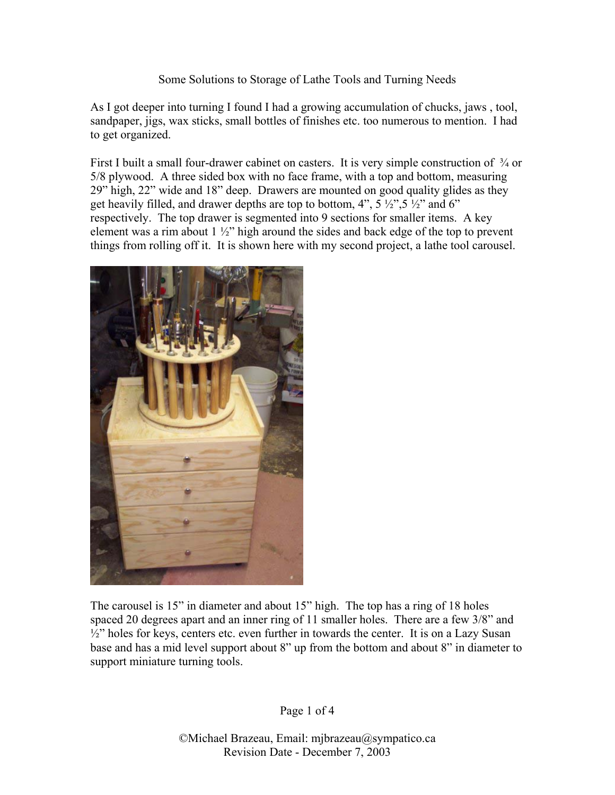## Some Solutions to Storage of Lathe Tools and Turning Needs

As I got deeper into turning I found I had a growing accumulation of chucks, jaws , tool, sandpaper, jigs, wax sticks, small bottles of finishes etc. too numerous to mention. I had to get organized.

First I built a small four-drawer cabinet on casters. It is very simple construction of  $\frac{3}{4}$  or 5/8 plywood. A three sided box with no face frame, with a top and bottom, measuring 29" high, 22" wide and 18" deep. Drawers are mounted on good quality glides as they get heavily filled, and drawer depths are top to bottom,  $4$ ",  $5\frac{1}{2}$ ",  $5\frac{1}{2}$ " and  $6$ " respectively. The top drawer is segmented into 9 sections for smaller items. A key element was a rim about 1 ½" high around the sides and back edge of the top to prevent things from rolling off it. It is shown here with my second project, a lathe tool carousel.



The carousel is 15" in diameter and about 15" high. The top has a ring of 18 holes spaced 20 degrees apart and an inner ring of 11 smaller holes. There are a few 3/8" and  $\frac{1}{2}$ " holes for keys, centers etc. even further in towards the center. It is on a Lazy Susan base and has a mid level support about 8" up from the bottom and about 8" in diameter to support miniature turning tools.

Page 1 of 4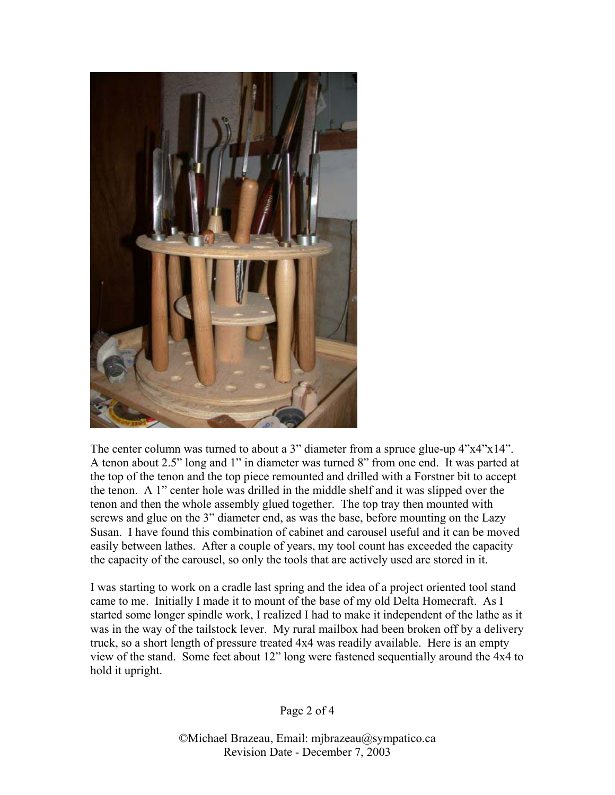

The center column was turned to about a 3" diameter from a spruce glue-up  $4"x4"x14"$ . A tenon about 2.5" long and 1" in diameter was turned 8" from one end. It was parted at the top of the tenon and the top piece remounted and drilled with a Forstner bit to accept the tenon. A 1" center hole was drilled in the middle shelf and it was slipped over the tenon and then the whole assembly glued together. The top tray then mounted with screws and glue on the 3" diameter end, as was the base, before mounting on the Lazy Susan. I have found this combination of cabinet and carousel useful and it can be moved easily between lathes. After a couple of years, my tool count has exceeded the capacity the capacity of the carousel, so only the tools that are actively used are stored in it.

I was starting to work on a cradle last spring and the idea of a project oriented tool stand came to me. Initially I made it to mount of the base of my old Delta Homecraft. As I started some longer spindle work, I realized I had to make it independent of the lathe as it was in the way of the tailstock lever. My rural mailbox had been broken off by a delivery truck, so a short length of pressure treated 4x4 was readily available. Here is an empty view of the stand. Some feet about 12" long were fastened sequentially around the 4x4 to hold it upright.

Page 2 of 4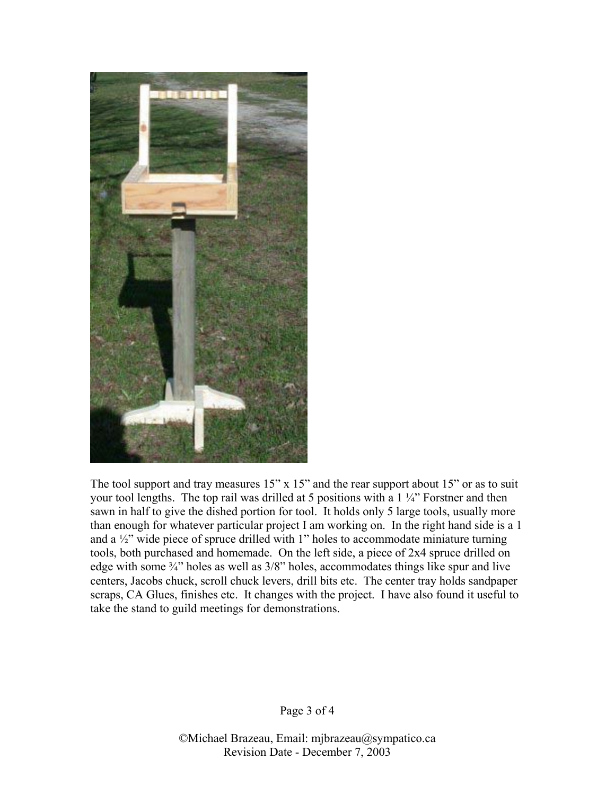

The tool support and tray measures 15" x 15" and the rear support about 15" or as to suit your tool lengths. The top rail was drilled at 5 positions with a 1 ¼" Forstner and then sawn in half to give the dished portion for tool. It holds only 5 large tools, usually more than enough for whatever particular project I am working on. In the right hand side is a 1 and a ½" wide piece of spruce drilled with 1" holes to accommodate miniature turning tools, both purchased and homemade. On the left side, a piece of 2x4 spruce drilled on edge with some  $\frac{3}{4}$ " holes as well as  $\frac{3}{8}$ " holes, accommodates things like spur and live centers, Jacobs chuck, scroll chuck levers, drill bits etc. The center tray holds sandpaper scraps, CA Glues, finishes etc. It changes with the project. I have also found it useful to take the stand to guild meetings for demonstrations.